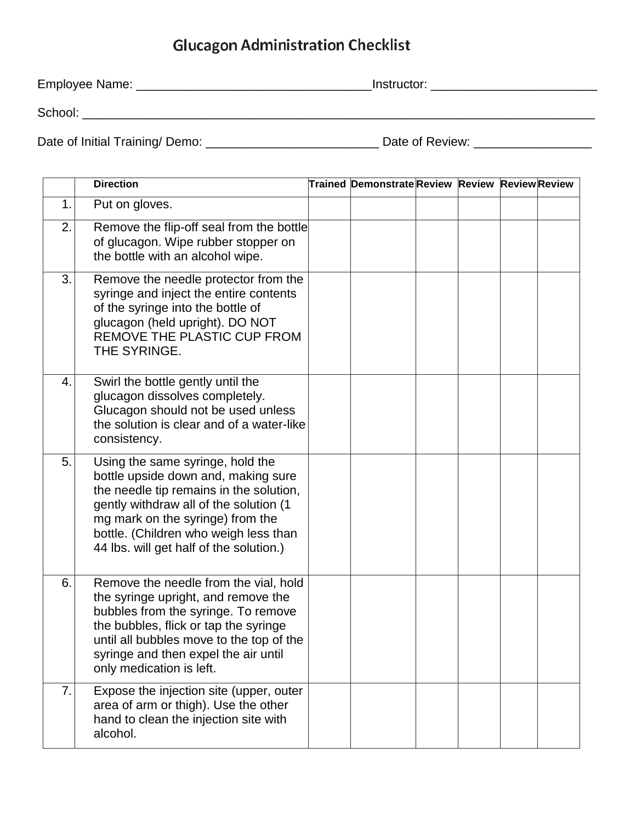## **Glucagon Administration Checklist**

| Employee Name:                 | Instructor:     |  |  |  |  |  |
|--------------------------------|-----------------|--|--|--|--|--|
| School:                        |                 |  |  |  |  |  |
| Date of Initial Training/Demo: | Date of Review: |  |  |  |  |  |

|    | <b>Direction</b>                                                                                                                                                                                                                                                                     | <b>Trained Demonstrate Review Review Review Review</b> |  |  |
|----|--------------------------------------------------------------------------------------------------------------------------------------------------------------------------------------------------------------------------------------------------------------------------------------|--------------------------------------------------------|--|--|
| 1. | Put on gloves.                                                                                                                                                                                                                                                                       |                                                        |  |  |
| 2. | Remove the flip-off seal from the bottle<br>of glucagon. Wipe rubber stopper on<br>the bottle with an alcohol wipe.                                                                                                                                                                  |                                                        |  |  |
| 3. | Remove the needle protector from the<br>syringe and inject the entire contents<br>of the syringe into the bottle of<br>glucagon (held upright). DO NOT<br>REMOVE THE PLASTIC CUP FROM<br>THE SYRINGE.                                                                                |                                                        |  |  |
| 4. | Swirl the bottle gently until the<br>glucagon dissolves completely.<br>Glucagon should not be used unless<br>the solution is clear and of a water-like<br>consistency.                                                                                                               |                                                        |  |  |
| 5. | Using the same syringe, hold the<br>bottle upside down and, making sure<br>the needle tip remains in the solution,<br>gently withdraw all of the solution (1<br>mg mark on the syringe) from the<br>bottle. (Children who weigh less than<br>44 lbs. will get half of the solution.) |                                                        |  |  |
| 6. | Remove the needle from the vial, hold<br>the syringe upright, and remove the<br>bubbles from the syringe. To remove<br>the bubbles, flick or tap the syringe<br>until all bubbles move to the top of the<br>syringe and then expel the air until<br>only medication is left.         |                                                        |  |  |
| 7. | Expose the injection site (upper, outer<br>area of arm or thigh). Use the other<br>hand to clean the injection site with<br>alcohol.                                                                                                                                                 |                                                        |  |  |